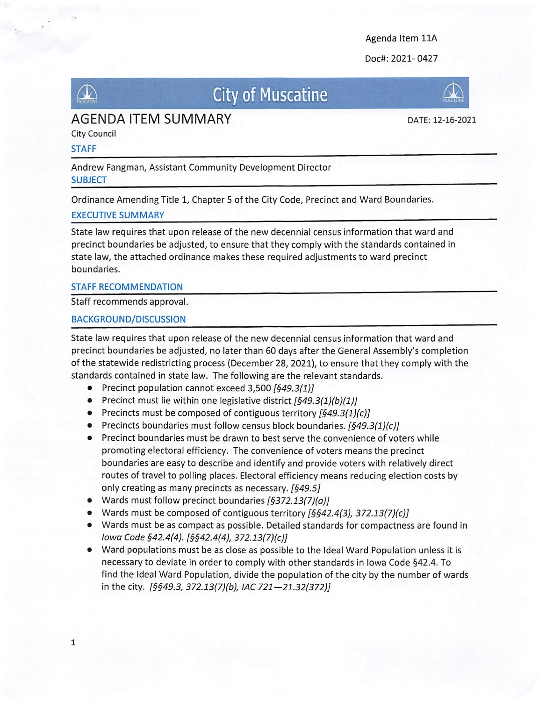Agenda Item 11A

Doc#: 2021- 0427



## $\mathbb{R}$  City of Muscatine



DATE: 12-16-2021

City Council

### STAFF

Andrew Fangman, Assistant Community Development Director **SUBJECT** 

Ordinance Amending Title 1, Chapter 5 of the City Code, Precinct and Ward Boundaries.

### EXECUTIVE SUMMARY

State law requires that upon release of the new decennial census information that ward and precinct boundaries be adjusted, to ensure that they comply with the standards contained in state law, the attached ordinance makes these required adjustments to ward precinct boundaries.

### STAFF RECOMMENDATION

Staff recommends approval.

### BACKGROUND/DISCUSSION

State law requires that upon release of the new decennial census information that ward and precinct boundaries be adjusted, no later than 60 days after the General Assembly's completion of the statewide redistricting process (December 28, 2021), to ensure that they comply with the standards contained in state law. The following are the relevant standards.

- **•** Precinct population cannot exceed  $3,500$   $[§49.3(1)]$
- Precinct must lie within one legislative district  $[549.3(1)(b)(1)]$
- Precincts must be composed of contiguous territory  $[649.3(1)(c)]$
- Precincts boundaries must follow census block boundaries.  $[649.3(1)(c)]$
- Precinct boundaries must be drawn to best serve the convenience of voters while promoting electoral efficiency. The convenience of voters means the precinct boundaries are easy to describe and identify and provide voters with relatively direct routes of travel to polling places. Electoral efficiency means reducing election costs by only creating as many precincts as necessary. [§49.5]
- Wards must follow precinct boundaries  $[5372.13(7)(a)]$
- Wards must be composed of contiguous territory  $[6642.4(3), 372.13(7)(c)]$
- Wards must be as compact as possible. Detailed standards for compactness are found in Iowa Code §42.4(4). [§§42.4(4), 372.13(7)(c)]
- Ward populations must be as close as possible to the Ideal Ward Population unless it is necessary to deviate in order to comply with other standards in Iowa Code §42.4. To find the Ideal Ward Population, divide the population of the city by the number of wards in the city. [§§49.3, 372.13(7)(b), IAC 721-21.32(372)]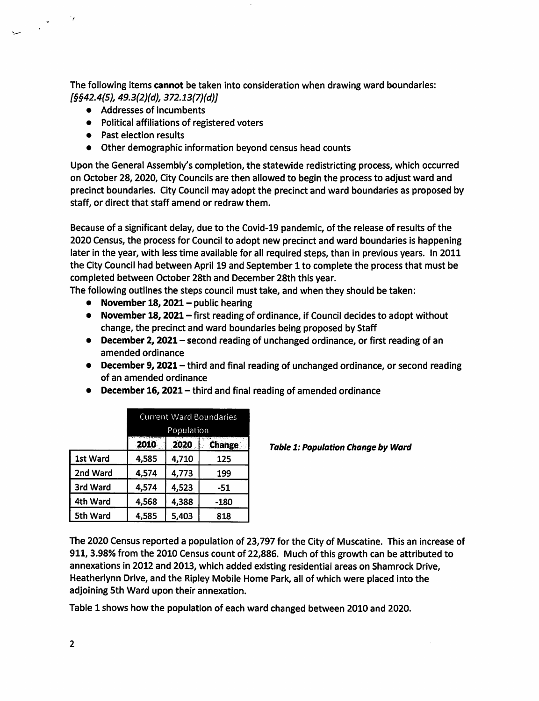The following items cannot be taken into consideration when drawing ward boundaries: [§§42.4{5), 493(2)(d), 372.13(7)(d)]

- Addresses of incumbents
- Political affiliations of registered voters
- Past election results

● Other demographic information beyond census head counts

Upon the General Assembly's completion, the statewide redistricting process, which occurred on October 28, 2020, City Councils are then allowed to begin the process to adjust ward and precinct boundaries. City Council may adopt the precinct and ward boundaries as proposed by staff, or direct that staff amend or redraw them.

Because of a significant delay, due to the Covid-19 pandemic, of the release of results of the 2020 Census, the process for Council to adopt new precinct and ward boundaries is happening later in the year, with less time available for all required steps, than in previous years. In 2011 the City Council had between April 19 and September 1 to complete the process that must be completed between October 28th and December 28th this year.

- The following outlines the steps council must take, and when they should be taken:
	- November 18, 2021 public hearing
	- November 18, 2021 first reading of ordinance, if Council decides to adopt without change, the precinct and ward boundaries being proposed by Staff
	- December 2, 2021 second reading of unchanged ordinance, or first reading of an amended ordinance
	- December 9, 2021 third and final reading of unchanged ordinance, or second reading of an amended ordinance
	- $\bullet$  December 16, 2021 third and final reading of amended ordinance

|          | <b>Current Ward Boundaries</b><br>Population |       |               |
|----------|----------------------------------------------|-------|---------------|
|          |                                              |       |               |
|          | 2010                                         | 2020  | <b>Change</b> |
| 1st Ward | 4,585                                        | 4,710 | 125           |
| 2nd Ward | 4,574                                        | 4,773 | 199           |
| 3rd Ward | 4,574                                        | 4,523 | -51           |
| 4th Ward | 4,568                                        | 4,388 | -180          |
| 5th Ward | 4,585                                        | 5,403 | 818           |

**Table 1: Population Change by Ward** 

The 2020 Census reported a population of 23,797 for the City of Muscatine. This an increase of 911, 3.98% from the 2010 Census count of 22,886. Much of this growth can be attributed to annexations in 2012 and 2013, which added existing residential areas on Shamrock Drive, Heatherlynn Drive, and the Ripley Mobile Home Park, all of which were placed into the adjoining 5th Ward upon their annexation.

Table 1 shows how the population of each ward changed between 2010 and 2020.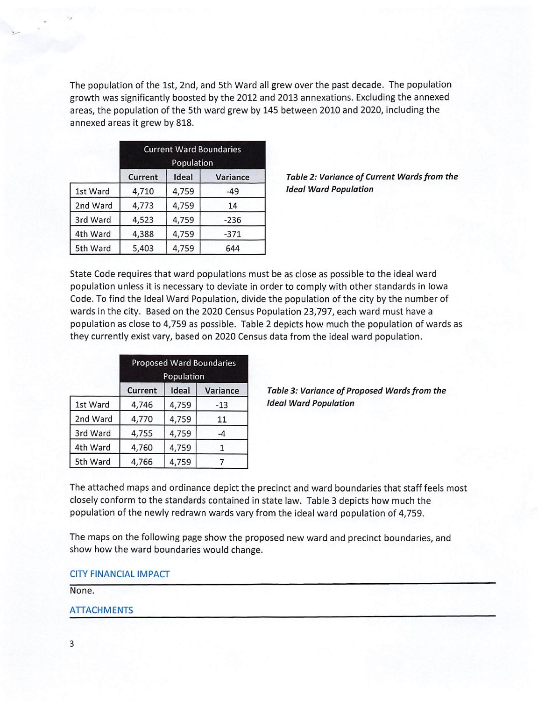The population of the 1st, 2nd, and 5th Ward all grew over the past decade. The population growth was significantly boosted by the 2012 and 2013 annexations. Excluding the annexed areas, the population of the 5th ward grew by 145 between 2010 and 2020, including the annexed areas it grew by 818.

|          | <b>Current Ward Boundaries</b><br>Population |       |          |  |
|----------|----------------------------------------------|-------|----------|--|
|          | Current                                      | Ideal | Variance |  |
| 1st Ward | 4,710                                        | 4,759 | $-49$    |  |
| 2nd Ward | 4,773                                        | 4,759 | 14       |  |
| 3rd Ward | 4,523                                        | 4,759 | $-236$   |  |
| 4th Ward | 4,388                                        | 4,759 | $-371$   |  |
| 5th Ward | 5,403                                        | 4,759 | 644      |  |

Table 2: Variance of Current Wards from the Ideal Ward Population

State Code requires that ward populations must be as close as possible to the ideal ward population unless it Is necessary to deviate in order to comply with other standards in Iowa Code. To find the Ideal Ward Population, divide the population of the city by the number of wards in the city. Based on the 2020 Census Population 23,797, each ward must have a population as close to 4,759 as possible. Table 2 depicts how much the population of wards as they currently exist vary, based on 2020 Census data from the ideal ward population.

|          | <b>Proposed Ward Boundaries</b><br>Population |       |          |  |
|----------|-----------------------------------------------|-------|----------|--|
|          | <b>Current</b>                                | Ideal | Variance |  |
| 1st Ward | 4,746                                         | 4,759 | $-13$    |  |
| 2nd Ward | 4,770                                         | 4,759 | 11       |  |
| 3rd Ward | 4,755                                         | 4,759 | $-4$     |  |
| 4th Ward | 4,760                                         | 4,759 |          |  |
| 5th Ward | 4,766                                         | 4,759 |          |  |

Table 3: Variance of Proposed Wards from the **Ideal Ward Population** 

The attached maps and ordinance depict the precinct and ward boundaries that staff feels most closely conform to the standards contained in state law. Table 3 depicts how much the population of the newly redrawn wards vary from the ideal ward population of 4,759.

The maps on the following page show the proposed new ward and precinct boundaries, and show how the ward boundaries would change.

CITY FINANCIAL IMPACT

None.

### ATTACHMENTS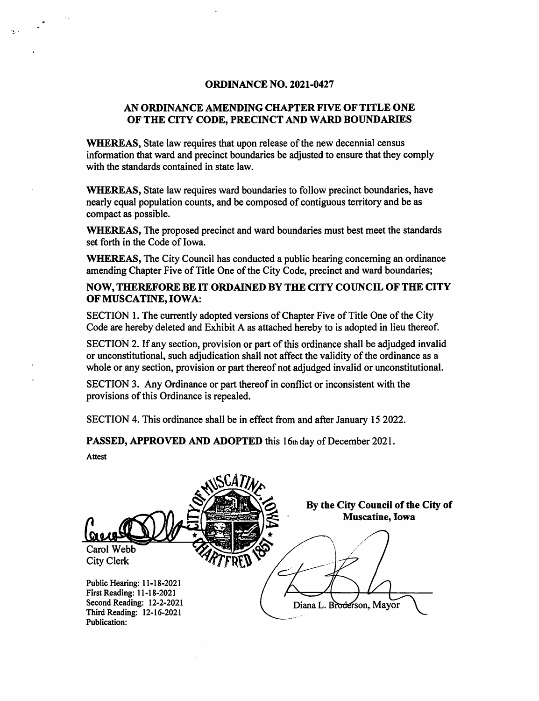#### ORDINANCE NO. 2021-0427

### AN ORDINANCE AMENDING CHAPTER FIVE OF TITLE ONE OF THE CITY CODE, PRECINCT AND WARD BOUNDARIES

WHEREAS, State law requires that upon release of the new decennial census information that ward and precinct boundaries be adjusted to ensure that they comply with the standards contained in state law.

WHEREAS, State law requires ward boundaries to follow precinct boundaries, have nearly equal population counts, and be composed of contiguous territory and be as compact as possible.

WHEREAS, The proposed precinct and ward boundaries must best meet the standards set forth in the Code of Iowa.

WHEREAS, The City Council has conducted a public hearing concerning an ordinance amending Chapter Five of Title One of the City Code, precinct and ward boundaries;

NOW, THEREFORE BE IT ORDAINED BY THE CITY COUNCIL OF THE CITY OF MUSCATINE, IOWA;

SECTION 1. The currently adopted versions of Chapter Five of Title One of the City Code are hereby deleted and Exhibit A as attached hereby to is adopted in lieu thereof.

SECTION 2. If any section, provision or part of this ordinance shall be adjudged invalid or unconstitutional, such adjudication shall not affect the validity of the ordinance as a whole or any section, provision or part thereof not adjudged invalid or unconstitutional.

SECTION 3. Any Ordinance or part thereof in conflict or inconsistent with the provisions of this Ordinance is repealed.

SECTION 4. This ordinance shall be in effect from and after January 15 2022.

PASSED, APPROVED AND ADOPTED this 16th day of December 2021.

Attest

By the City Council of the City of Muscatine, Iowa  $\frac{\omega}{\omega}$ Carol Webb City Clerk Public Hearing: 11-18-2021 First Reading: 11-18-2021 Second Reading: I2-2-202I Third Reading: 12-16-2021 Publication: Diana L. Broderson, Mayor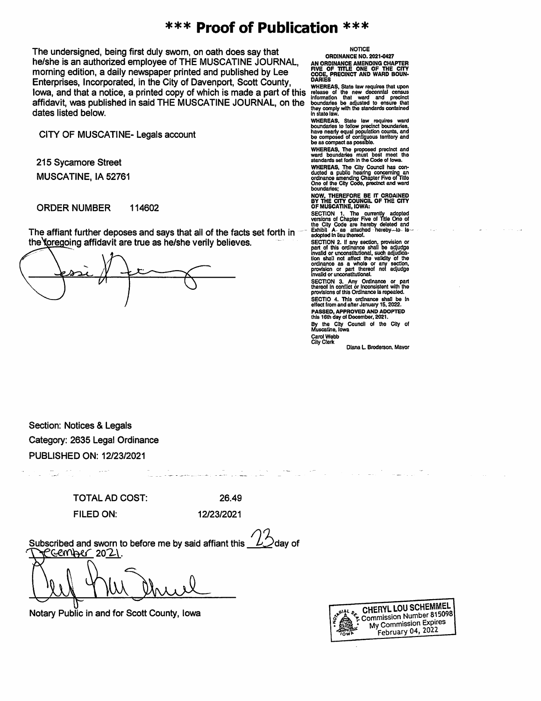### \*\*\* Proof of Publication \*\*\*

The undersigned, being first duly sworn, on oath does say that oRDINANCE NO. 2021-0427<br>he/she is an authorized employee of THE MUSCATINE JOURNAL, AN ORDINANCE ANE OF THE ONE OF THE CITY<br>morning edition, a daily newspaper p he/she is an authorized employee of THE MUSCATINE JOURNAL, morning edition, a daily newspaper printed and published by Lee code, in the Code, code, code, in the City of Davenport, Scott County, parties Enterprises, Incorporated, in the City of Davenport, Scott County, Same WHEREAS, State law requires that upon<br>Iours, and that a nation, a printed gapy of which is made a nort of this, release of the sexu deception county IOWA, and that a notice, a printed copy of which is made a part of this release of the new decennial census affidavit, was published in said THE MUSCATINE JOURNAL, on the dates listed below.

CITY OF MUSCATINE- Legals account

215 Sycamore Street MUSCATINE, lA 52761

ORDER NUMBER 114602

The affiant further deposes and says that all of the facts set forth in the foregoing affidavit are true as he/she verily believes.

WHEREAS, State law requires that upon<br>release of the new decennial census<br>information that ward and precinct<br>boundards be adjusted to ensure that<br>they comply with the standards contained<br>in state law.

WHEREAS. State law requires ward<br>boundaries to follow precinct boundaries,<br>have nearly equal population counts, and<br>be composed of contiguous territory and<br>be as compact as possible.

WHEREAS, The proposed precinct and ward boundaries must best meet the standards set forth in the Code of Iowa.

WHEREAS, The City Council has contring<br>ducted a public hearing concerning<br>ordinance amending Chapter Five of Title<br>One of the City Code, precinct and ward

boundaries; NOW. THEREFORE BE IT ORDAINED BY THE CITY COUNCIL OF THE CITY OF MUSCATINE, IOWA:

SECTION 1. The currently adopted<br>the City Code are hereby deleted and<br>Exhibit A as attached hereby to is<br>adopted in lieu thereof.

SECTION 2. If any section, provision or<br>part of this ordinance shall be adjudge<br>invalid or unconstitutional, such adjudica-<br>tion shall not affect the validity of the<br>ordinance as a whole or any section, provision or part thereof not adjudge invalid or unconstitutional.

SECTION 3. Any Ordinance or part<br>thereof in conflict or inconsistent with the<br>provisions of this Ordinance is repealed. SECTIO 4. This ordinance shall be in effect from and after January 15, 2022.

effect from and after January 15, 2022.<br>PASSED, APPROVED AND ADOPTED<br>this 16th day of December, 2021.

By the City Council ol the City of Muscatine, Iowa

Carol Webb City Clerk

Diana L. Broderson. Mavor

Section: Notices & Legals Category: 2635 Legal Ordinance PUBLISHED ON: 12/23/2021

> TOTAL AD COST: 26.49 FILED ON: 12/23/2021

Subscribed and sworn to before me by said affiant this Gember 2021. day of

Notary Public in and for Scott County, Iowa

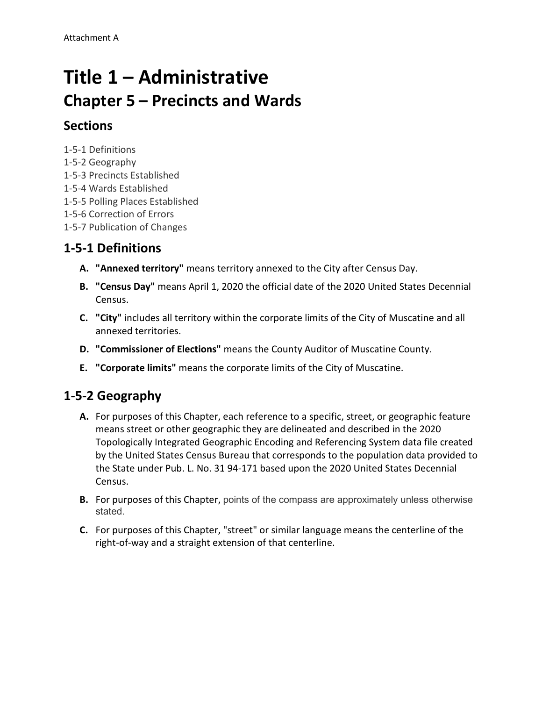# **Title 1 – Administrative Chapter 5 – Precincts and Wards**

### **Sections**

1-5-1 Definitions

- 1-5-2 Geography
- 1-5-3 Precincts Established
- 1-5-4 Wards Established
- 1-5-5 Polling Places Established
- 1-5-6 Correction of Errors
- 1-5-7 Publication of Changes

## **1-5-1 Definitions**

- **A. "Annexed territory"** means territory annexed to the City after Census Day.
- **B. "Census Day"** means April 1, 2020 the official date of the 2020 United States Decennial Census.
- **C. "City"** includes all territory within the corporate limits of the City of Muscatine and all annexed territories.
- **D. "Commissioner of Elections"** means the County Auditor of Muscatine County.
- **E. "Corporate limits"** means the corporate limits of the City of Muscatine.

## **1-5-2 Geography**

- **A.** For purposes of this Chapter, each reference to a specific, street, or geographic feature means street or other geographic they are delineated and described in the 2020 Topologically Integrated Geographic Encoding and Referencing System data file created by the United States Census Bureau that corresponds to the population data provided to the State under Pub. L. No. 31 94-171 based upon the 2020 United States Decennial Census.
- **B.** For purposes of this Chapter, points of the compass are approximately unless otherwise stated.
- **C.** For purposes of this Chapter, "street" or similar language means the centerline of the right-of-way and a straight extension of that centerline.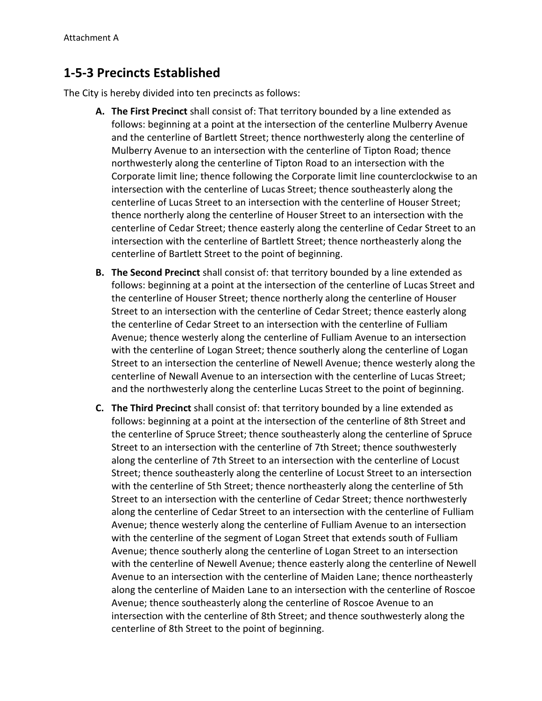### **1-5-3 Precincts Established**

The City is hereby divided into ten precincts as follows:

- **A. The First Precinct** shall consist of: That territory bounded by a line extended as follows: beginning at a point at the intersection of the centerline Mulberry Avenue and the centerline of Bartlett Street; thence northwesterly along the centerline of Mulberry Avenue to an intersection with the centerline of Tipton Road; thence northwesterly along the centerline of Tipton Road to an intersection with the Corporate limit line; thence following the Corporate limit line counterclockwise to an intersection with the centerline of Lucas Street; thence southeasterly along the centerline of Lucas Street to an intersection with the centerline of Houser Street; thence northerly along the centerline of Houser Street to an intersection with the centerline of Cedar Street; thence easterly along the centerline of Cedar Street to an intersection with the centerline of Bartlett Street; thence northeasterly along the centerline of Bartlett Street to the point of beginning.
- **B. The Second Precinct** shall consist of: that territory bounded by a line extended as follows: beginning at a point at the intersection of the centerline of Lucas Street and the centerline of Houser Street; thence northerly along the centerline of Houser Street to an intersection with the centerline of Cedar Street; thence easterly along the centerline of Cedar Street to an intersection with the centerline of Fulliam Avenue; thence westerly along the centerline of Fulliam Avenue to an intersection with the centerline of Logan Street; thence southerly along the centerline of Logan Street to an intersection the centerline of Newell Avenue; thence westerly along the centerline of Newall Avenue to an intersection with the centerline of Lucas Street; and the northwesterly along the centerline Lucas Street to the point of beginning.
- **C. The Third Precinct** shall consist of: that territory bounded by a line extended as follows: beginning at a point at the intersection of the centerline of 8th Street and the centerline of Spruce Street; thence southeasterly along the centerline of Spruce Street to an intersection with the centerline of 7th Street; thence southwesterly along the centerline of 7th Street to an intersection with the centerline of Locust Street; thence southeasterly along the centerline of Locust Street to an intersection with the centerline of 5th Street; thence northeasterly along the centerline of 5th Street to an intersection with the centerline of Cedar Street; thence northwesterly along the centerline of Cedar Street to an intersection with the centerline of Fulliam Avenue; thence westerly along the centerline of Fulliam Avenue to an intersection with the centerline of the segment of Logan Street that extends south of Fulliam Avenue; thence southerly along the centerline of Logan Street to an intersection with the centerline of Newell Avenue; thence easterly along the centerline of Newell Avenue to an intersection with the centerline of Maiden Lane; thence northeasterly along the centerline of Maiden Lane to an intersection with the centerline of Roscoe Avenue; thence southeasterly along the centerline of Roscoe Avenue to an intersection with the centerline of 8th Street; and thence southwesterly along the centerline of 8th Street to the point of beginning.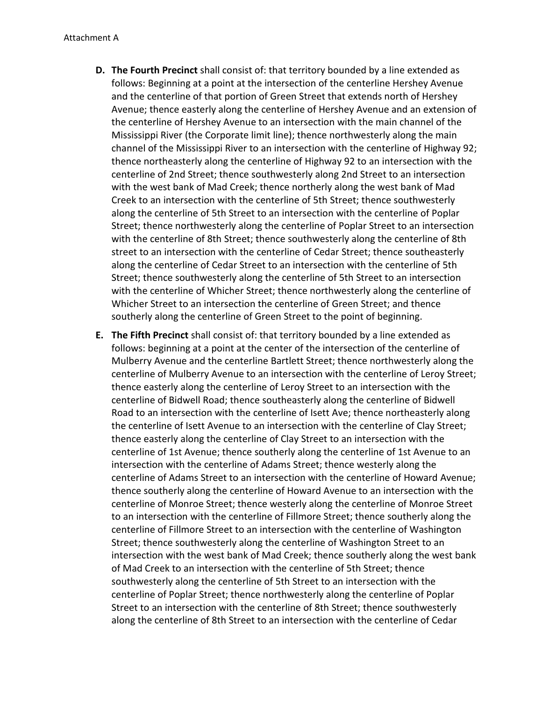- **D. The Fourth Precinct** shall consist of: that territory bounded by a line extended as follows: Beginning at a point at the intersection of the centerline Hershey Avenue and the centerline of that portion of Green Street that extends north of Hershey Avenue; thence easterly along the centerline of Hershey Avenue and an extension of the centerline of Hershey Avenue to an intersection with the main channel of the Mississippi River (the Corporate limit line); thence northwesterly along the main channel of the Mississippi River to an intersection with the centerline of Highway 92; thence northeasterly along the centerline of Highway 92 to an intersection with the centerline of 2nd Street; thence southwesterly along 2nd Street to an intersection with the west bank of Mad Creek; thence northerly along the west bank of Mad Creek to an intersection with the centerline of 5th Street; thence southwesterly along the centerline of 5th Street to an intersection with the centerline of Poplar Street; thence northwesterly along the centerline of Poplar Street to an intersection with the centerline of 8th Street; thence southwesterly along the centerline of 8th street to an intersection with the centerline of Cedar Street; thence southeasterly along the centerline of Cedar Street to an intersection with the centerline of 5th Street; thence southwesterly along the centerline of 5th Street to an intersection with the centerline of Whicher Street; thence northwesterly along the centerline of Whicher Street to an intersection the centerline of Green Street; and thence southerly along the centerline of Green Street to the point of beginning.
- **E. The Fifth Precinct** shall consist of: that territory bounded by a line extended as follows: beginning at a point at the center of the intersection of the centerline of Mulberry Avenue and the centerline Bartlett Street; thence northwesterly along the centerline of Mulberry Avenue to an intersection with the centerline of Leroy Street; thence easterly along the centerline of Leroy Street to an intersection with the centerline of Bidwell Road; thence southeasterly along the centerline of Bidwell Road to an intersection with the centerline of Isett Ave; thence northeasterly along the centerline of Isett Avenue to an intersection with the centerline of Clay Street; thence easterly along the centerline of Clay Street to an intersection with the centerline of 1st Avenue; thence southerly along the centerline of 1st Avenue to an intersection with the centerline of Adams Street; thence westerly along the centerline of Adams Street to an intersection with the centerline of Howard Avenue; thence southerly along the centerline of Howard Avenue to an intersection with the centerline of Monroe Street; thence westerly along the centerline of Monroe Street to an intersection with the centerline of Fillmore Street; thence southerly along the centerline of Fillmore Street to an intersection with the centerline of Washington Street; thence southwesterly along the centerline of Washington Street to an intersection with the west bank of Mad Creek; thence southerly along the west bank of Mad Creek to an intersection with the centerline of 5th Street; thence southwesterly along the centerline of 5th Street to an intersection with the centerline of Poplar Street; thence northwesterly along the centerline of Poplar Street to an intersection with the centerline of 8th Street; thence southwesterly along the centerline of 8th Street to an intersection with the centerline of Cedar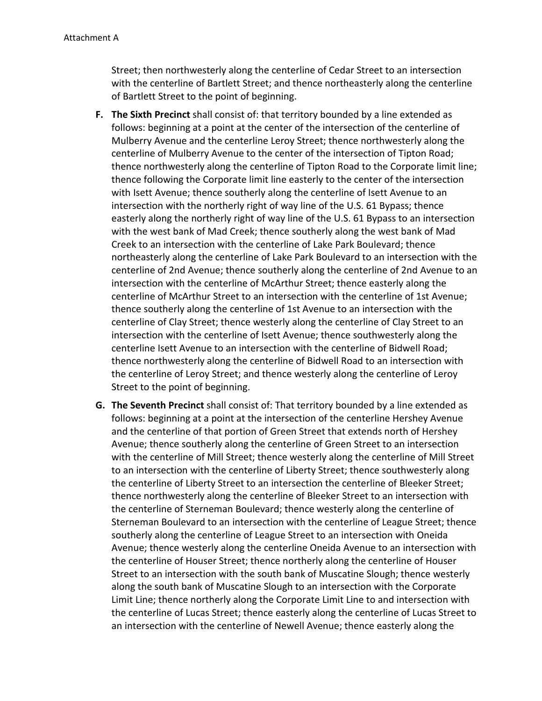Street; then northwesterly along the centerline of Cedar Street to an intersection with the centerline of Bartlett Street; and thence northeasterly along the centerline of Bartlett Street to the point of beginning.

- **F. The Sixth Precinct** shall consist of: that territory bounded by a line extended as follows: beginning at a point at the center of the intersection of the centerline of Mulberry Avenue and the centerline Leroy Street; thence northwesterly along the centerline of Mulberry Avenue to the center of the intersection of Tipton Road; thence northwesterly along the centerline of Tipton Road to the Corporate limit line; thence following the Corporate limit line easterly to the center of the intersection with Isett Avenue; thence southerly along the centerline of Isett Avenue to an intersection with the northerly right of way line of the U.S. 61 Bypass; thence easterly along the northerly right of way line of the U.S. 61 Bypass to an intersection with the west bank of Mad Creek; thence southerly along the west bank of Mad Creek to an intersection with the centerline of Lake Park Boulevard; thence northeasterly along the centerline of Lake Park Boulevard to an intersection with the centerline of 2nd Avenue; thence southerly along the centerline of 2nd Avenue to an intersection with the centerline of McArthur Street; thence easterly along the centerline of McArthur Street to an intersection with the centerline of 1st Avenue; thence southerly along the centerline of 1st Avenue to an intersection with the centerline of Clay Street; thence westerly along the centerline of Clay Street to an intersection with the centerline of Isett Avenue; thence southwesterly along the centerline Isett Avenue to an intersection with the centerline of Bidwell Road; thence northwesterly along the centerline of Bidwell Road to an intersection with the centerline of Leroy Street; and thence westerly along the centerline of Leroy Street to the point of beginning.
- **G. The Seventh Precinct** shall consist of: That territory bounded by a line extended as follows: beginning at a point at the intersection of the centerline Hershey Avenue and the centerline of that portion of Green Street that extends north of Hershey Avenue; thence southerly along the centerline of Green Street to an intersection with the centerline of Mill Street; thence westerly along the centerline of Mill Street to an intersection with the centerline of Liberty Street; thence southwesterly along the centerline of Liberty Street to an intersection the centerline of Bleeker Street; thence northwesterly along the centerline of Bleeker Street to an intersection with the centerline of Sterneman Boulevard; thence westerly along the centerline of Sterneman Boulevard to an intersection with the centerline of League Street; thence southerly along the centerline of League Street to an intersection with Oneida Avenue; thence westerly along the centerline Oneida Avenue to an intersection with the centerline of Houser Street; thence northerly along the centerline of Houser Street to an intersection with the south bank of Muscatine Slough; thence westerly along the south bank of Muscatine Slough to an intersection with the Corporate Limit Line; thence northerly along the Corporate Limit Line to and intersection with the centerline of Lucas Street; thence easterly along the centerline of Lucas Street to an intersection with the centerline of Newell Avenue; thence easterly along the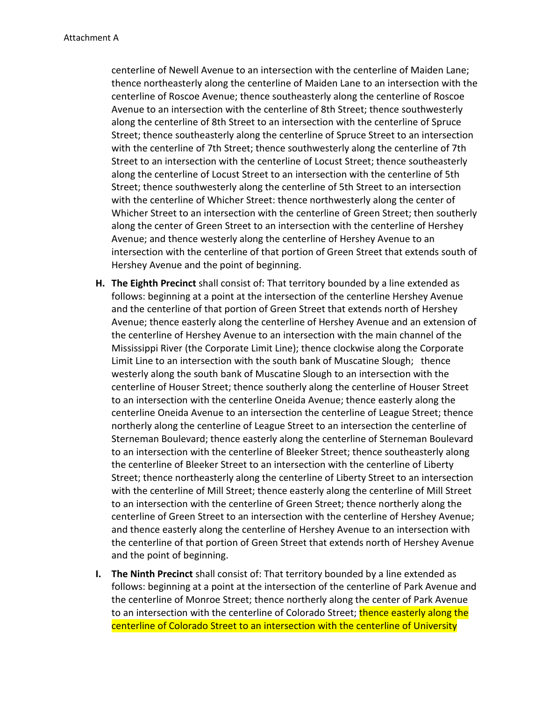centerline of Newell Avenue to an intersection with the centerline of Maiden Lane; thence northeasterly along the centerline of Maiden Lane to an intersection with the centerline of Roscoe Avenue; thence southeasterly along the centerline of Roscoe Avenue to an intersection with the centerline of 8th Street; thence southwesterly along the centerline of 8th Street to an intersection with the centerline of Spruce Street; thence southeasterly along the centerline of Spruce Street to an intersection with the centerline of 7th Street; thence southwesterly along the centerline of 7th Street to an intersection with the centerline of Locust Street; thence southeasterly along the centerline of Locust Street to an intersection with the centerline of 5th Street; thence southwesterly along the centerline of 5th Street to an intersection with the centerline of Whicher Street: thence northwesterly along the center of Whicher Street to an intersection with the centerline of Green Street; then southerly along the center of Green Street to an intersection with the centerline of Hershey Avenue; and thence westerly along the centerline of Hershey Avenue to an intersection with the centerline of that portion of Green Street that extends south of Hershey Avenue and the point of beginning.

- **H. The Eighth Precinct** shall consist of: That territory bounded by a line extended as follows: beginning at a point at the intersection of the centerline Hershey Avenue and the centerline of that portion of Green Street that extends north of Hershey Avenue; thence easterly along the centerline of Hershey Avenue and an extension of the centerline of Hershey Avenue to an intersection with the main channel of the Mississippi River (the Corporate Limit Line); thence clockwise along the Corporate Limit Line to an intersection with the south bank of Muscatine Slough; thence westerly along the south bank of Muscatine Slough to an intersection with the centerline of Houser Street; thence southerly along the centerline of Houser Street to an intersection with the centerline Oneida Avenue; thence easterly along the centerline Oneida Avenue to an intersection the centerline of League Street; thence northerly along the centerline of League Street to an intersection the centerline of Sterneman Boulevard; thence easterly along the centerline of Sterneman Boulevard to an intersection with the centerline of Bleeker Street; thence southeasterly along the centerline of Bleeker Street to an intersection with the centerline of Liberty Street; thence northeasterly along the centerline of Liberty Street to an intersection with the centerline of Mill Street; thence easterly along the centerline of Mill Street to an intersection with the centerline of Green Street; thence northerly along the centerline of Green Street to an intersection with the centerline of Hershey Avenue; and thence easterly along the centerline of Hershey Avenue to an intersection with the centerline of that portion of Green Street that extends north of Hershey Avenue and the point of beginning.
- **I. The Ninth Precinct** shall consist of: That territory bounded by a line extended as follows: beginning at a point at the intersection of the centerline of Park Avenue and the centerline of Monroe Street; thence northerly along the center of Park Avenue to an intersection with the centerline of Colorado Street; thence easterly along the centerline of Colorado Street to an intersection with the centerline of University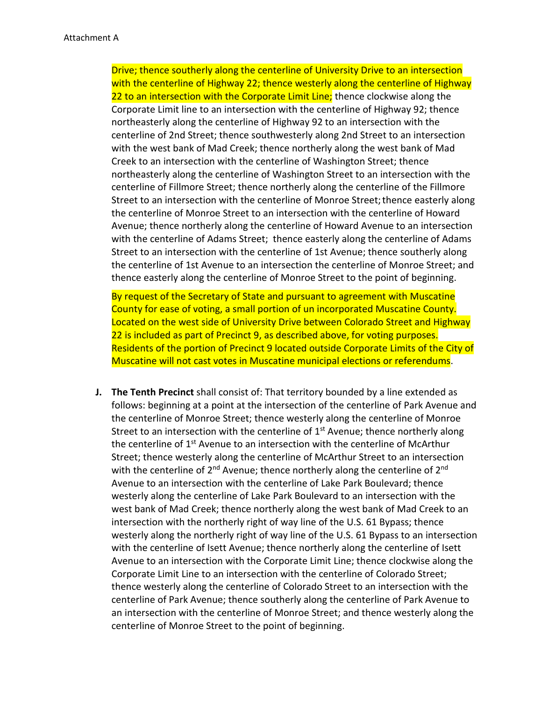Drive; thence southerly along the centerline of University Drive to an intersection with the centerline of Highway 22; thence westerly along the centerline of Highway 22 to an intersection with the Corporate Limit Line; thence clockwise along the Corporate Limit line to an intersection with the centerline of Highway 92; thence northeasterly along the centerline of Highway 92 to an intersection with the centerline of 2nd Street; thence southwesterly along 2nd Street to an intersection with the west bank of Mad Creek; thence northerly along the west bank of Mad Creek to an intersection with the centerline of Washington Street; thence northeasterly along the centerline of Washington Street to an intersection with the centerline of Fillmore Street; thence northerly along the centerline of the Fillmore Street to an intersection with the centerline of Monroe Street; thence easterly along the centerline of Monroe Street to an intersection with the centerline of Howard Avenue; thence northerly along the centerline of Howard Avenue to an intersection with the centerline of Adams Street; thence easterly along the centerline of Adams Street to an intersection with the centerline of 1st Avenue; thence southerly along the centerline of 1st Avenue to an intersection the centerline of Monroe Street; and thence easterly along the centerline of Monroe Street to the point of beginning.

By request of the Secretary of State and pursuant to agreement with Muscatine County for ease of voting, a small portion of un incorporated Muscatine County. Located on the west side of University Drive between Colorado Street and Highway 22 is included as part of Precinct 9, as described above, for voting purposes. Residents of the portion of Precinct 9 located outside Corporate Limits of the City of Muscatine will not cast votes in Muscatine municipal elections or referendums.

**J. The Tenth Precinct** shall consist of: That territory bounded by a line extended as follows: beginning at a point at the intersection of the centerline of Park Avenue and the centerline of Monroe Street; thence westerly along the centerline of Monroe Street to an intersection with the centerline of  $1<sup>st</sup>$  Avenue; thence northerly along the centerline of  $1<sup>st</sup>$  Avenue to an intersection with the centerline of McArthur Street; thence westerly along the centerline of McArthur Street to an intersection with the centerline of  $2^{nd}$  Avenue; thence northerly along the centerline of  $2^{nd}$ Avenue to an intersection with the centerline of Lake Park Boulevard; thence westerly along the centerline of Lake Park Boulevard to an intersection with the west bank of Mad Creek; thence northerly along the west bank of Mad Creek to an intersection with the northerly right of way line of the U.S. 61 Bypass; thence westerly along the northerly right of way line of the U.S. 61 Bypass to an intersection with the centerline of Isett Avenue; thence northerly along the centerline of Isett Avenue to an intersection with the Corporate Limit Line; thence clockwise along the Corporate Limit Line to an intersection with the centerline of Colorado Street; thence westerly along the centerline of Colorado Street to an intersection with the centerline of Park Avenue; thence southerly along the centerline of Park Avenue to an intersection with the centerline of Monroe Street; and thence westerly along the centerline of Monroe Street to the point of beginning.